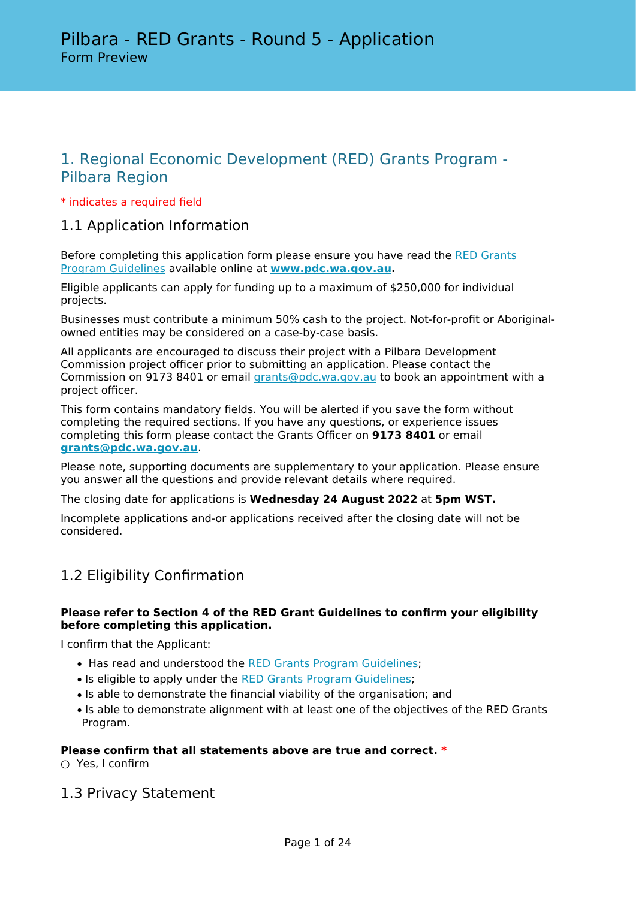# 1. Regional Economic Development (RED) Grants Program - Pilbara Region

## \* indicates a required field

# 1.1 Application Information

Before completing this application form please ensure you have read the [RED Grants](https://www.pdc.wa.gov.au/our-focus/grants-funding/redgrants) [Program Guidelines](https://www.pdc.wa.gov.au/our-focus/grants-funding/redgrants) available online at **[www.pdc.wa.gov.au.](https://www.pdc.wa.gov.au/)**

Eligible applicants can apply for funding up to a maximum of \$250,000 for individual projects.

Businesses must contribute a minimum 50% cash to the project. Not-for-profit or Aboriginalowned entities may be considered on a case-by-case basis.

All applicants are encouraged to discuss their project with a Pilbara Development Commission project officer prior to submitting an application. Please contact the Commission on 9173 8401 or email [grants@pdc.wa.gov.au](mailto:grants@pdc.wa.gov.au) to book an appointment with a project officer.

This form contains mandatory fields. You will be alerted if you save the form without completing the required sections. If you have any questions, or experience issues completing this form please contact the Grants Officer on **9173 8401** or email **[grants@pdc.wa.gov.au](mailto:grants@pdc.wa.gov.au)**.

Please note, supporting documents are supplementary to your application. Please ensure you answer all the questions and provide relevant details where required.

The closing date for applications is **Wednesday 24 August 2022** at **5pm WST.**

Incomplete applications and-or applications received after the closing date will not be considered.

# 1.2 Eligibility Confirmation

## **Please refer to Section 4 of the RED Grant Guidelines to confirm your eligibility before completing this application.**

I confirm that the Applicant:

- Has read and understood the [RED Grants Program Guidelines](https://www.pdc.wa.gov.au/our-focus/grants-funding/redgrants);
- Is eligible to apply under the [RED Grants Program Guidelines](https://www.pdc.wa.gov.au/our-focus/grants-funding/redgrants);
- Is able to demonstrate the financial viability of the organisation; and
- Is able to demonstrate alignment with at least one of the objectives of the RED Grants Program.

#### **Please confirm that all statements above are true and correct. \***

○ Yes, I confirm

1.3 Privacy Statement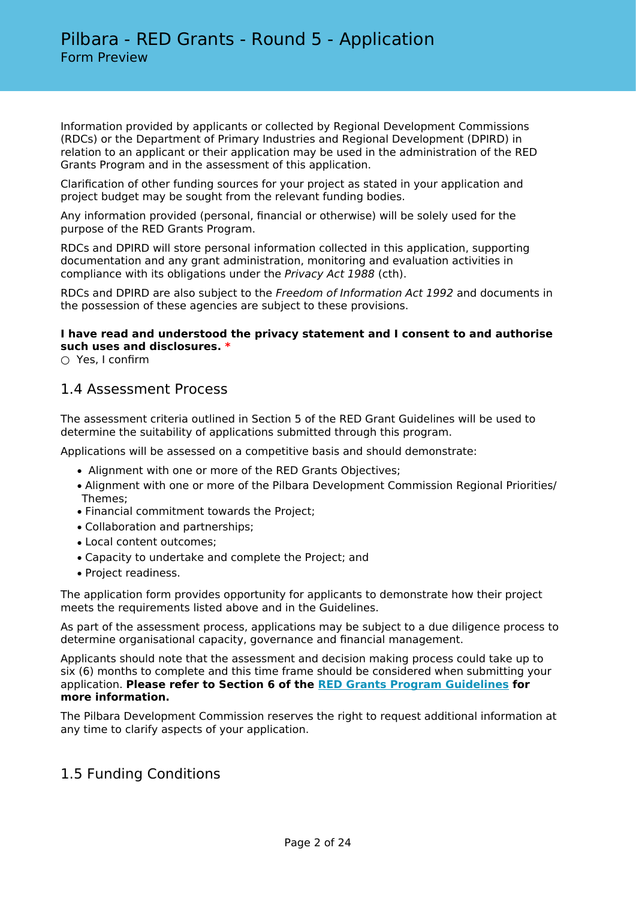Information provided by applicants or collected by Regional Development Commissions (RDCs) or the Department of Primary Industries and Regional Development (DPIRD) in relation to an applicant or their application may be used in the administration of the RED Grants Program and in the assessment of this application.

Clarification of other funding sources for your project as stated in your application and project budget may be sought from the relevant funding bodies.

Any information provided (personal, financial or otherwise) will be solely used for the purpose of the RED Grants Program.

RDCs and DPIRD will store personal information collected in this application, supporting documentation and any grant administration, monitoring and evaluation activities in compliance with its obligations under the *Privacy Act 1988* (cth).

RDCs and DPIRD are also subject to the *Freedom of Information Act 1992* and documents in the possession of these agencies are subject to these provisions.

## **I have read and understood the privacy statement and I consent to and authorise such uses and disclosures. \***

○ Yes, I confirm

# 1.4 Assessment Process

The assessment criteria outlined in Section 5 of the RED Grant Guidelines will be used to determine the suitability of applications submitted through this program.

Applications will be assessed on a competitive basis and should demonstrate:

- Alignment with one or more of the RED Grants Objectives;
- Alignment with one or more of the Pilbara Development Commission Regional Priorities/ Themes;
- Financial commitment towards the Project;
- Collaboration and partnerships;
- Local content outcomes;
- Capacity to undertake and complete the Project; and
- Project readiness.

The application form provides opportunity for applicants to demonstrate how their project meets the requirements listed above and in the Guidelines.

As part of the assessment process, applications may be subject to a due diligence process to determine organisational capacity, governance and financial management.

Applicants should note that the assessment and decision making process could take up to six (6) months to complete and this time frame should be considered when submitting your application. **Please refer to Section 6 of the [RED Grants Program Guidelines](https://www.pdc.wa.gov.au/our-focus/grants-funding/redgrants) for more information.**

The Pilbara Development Commission reserves the right to request additional information at any time to clarify aspects of your application.

# 1.5 Funding Conditions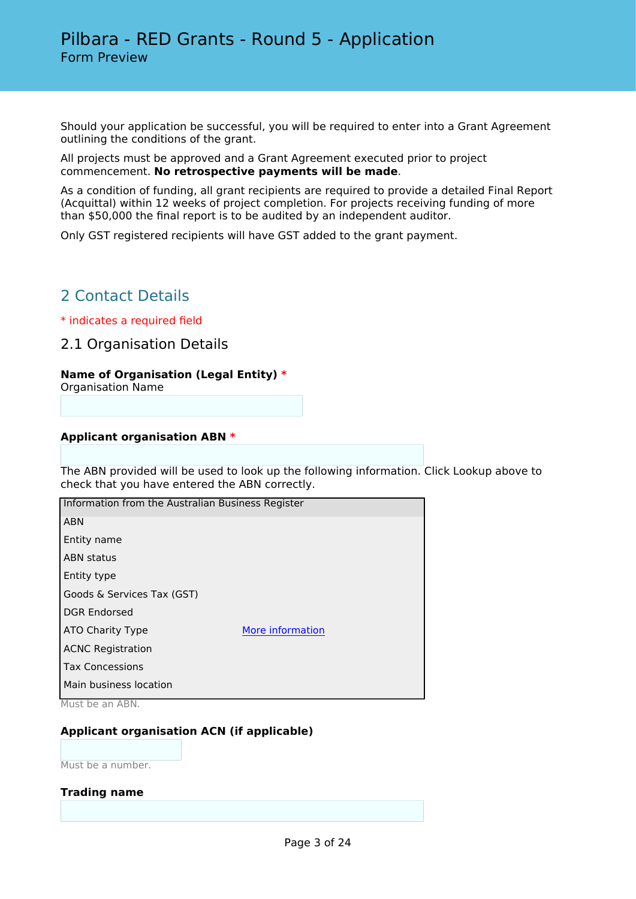Should your application be successful, you will be required to enter into a Grant Agreement outlining the conditions of the grant.

All projects must be approved and a Grant Agreement executed prior to project commencement. **No retrospective payments will be made**.

As a condition of funding, all grant recipients are required to provide a detailed Final Report (Acquittal) within 12 weeks of project completion. For projects receiving funding of more than \$50,000 the final report is to be audited by an independent auditor.

Only GST registered recipients will have GST added to the grant payment.

# 2 Contact Details

\* indicates a required field

2.1 Organisation Details

## **Name of Organisation (Legal Entity) \***

Organisation Name

#### **Applicant organisation ABN \***

The ABN provided will be used to look up the following information. Click Lookup above to check that you have entered the ABN correctly.

| Information from the Australian Business Register |                  |  |  |
|---------------------------------------------------|------------------|--|--|
| <b>ABN</b>                                        |                  |  |  |
| Entity name                                       |                  |  |  |
| <b>ABN</b> status                                 |                  |  |  |
| Entity type                                       |                  |  |  |
| Goods & Services Tax (GST)                        |                  |  |  |
| <b>DGR Endorsed</b>                               |                  |  |  |
| ATO Charity Type                                  | More information |  |  |
| <b>ACNC Registration</b>                          |                  |  |  |
| <b>Tax Concessions</b>                            |                  |  |  |
| Main business location                            |                  |  |  |

Must be an ABN.

# **Applicant organisation ACN (if applicable)**

Must be a number.

#### **Trading name**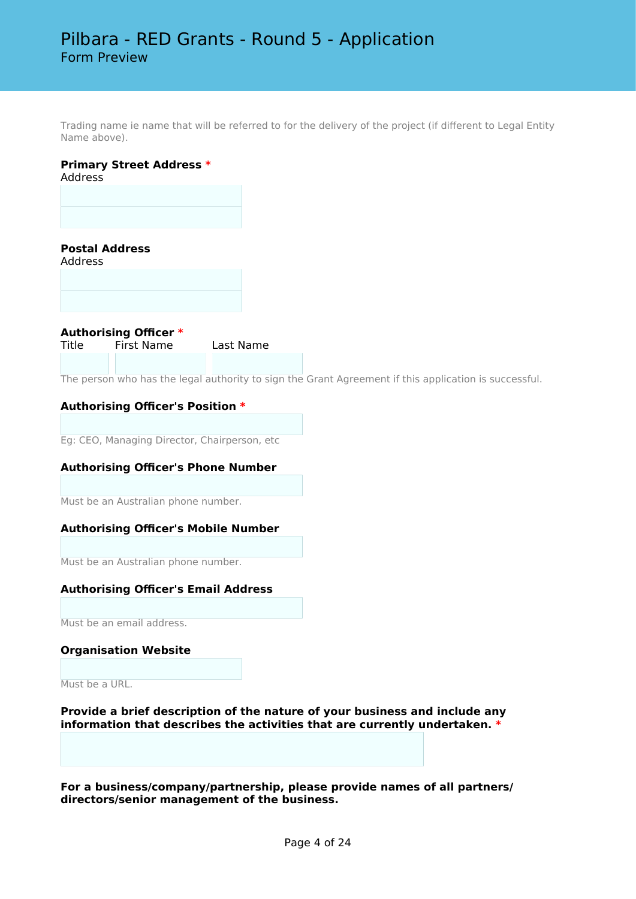Trading name ie name that will be referred to for the delivery of the project (if different to Legal Entity Name above).

# **Primary Street Address \***

Address

# **Postal Address**

Address

**Authorising Officer \*** First Name Last Name

The person who has the legal authority to sign the Grant Agreement if this application is successful.

## **Authorising Officer's Position \***

Eg: CEO, Managing Director, Chairperson, etc

#### **Authorising Officer's Phone Number**

Must be an Australian phone number.

#### **Authorising Officer's Mobile Number**

Must be an Australian phone number.

#### **Authorising Officer's Email Address**

Must be an email address.

#### **Organisation Website**

Must be a URL.

**Provide a brief description of the nature of your business and include any information that describes the activities that are currently undertaken. \***

**For a business/company/partnership, please provide names of all partners/ directors/senior management of the business.**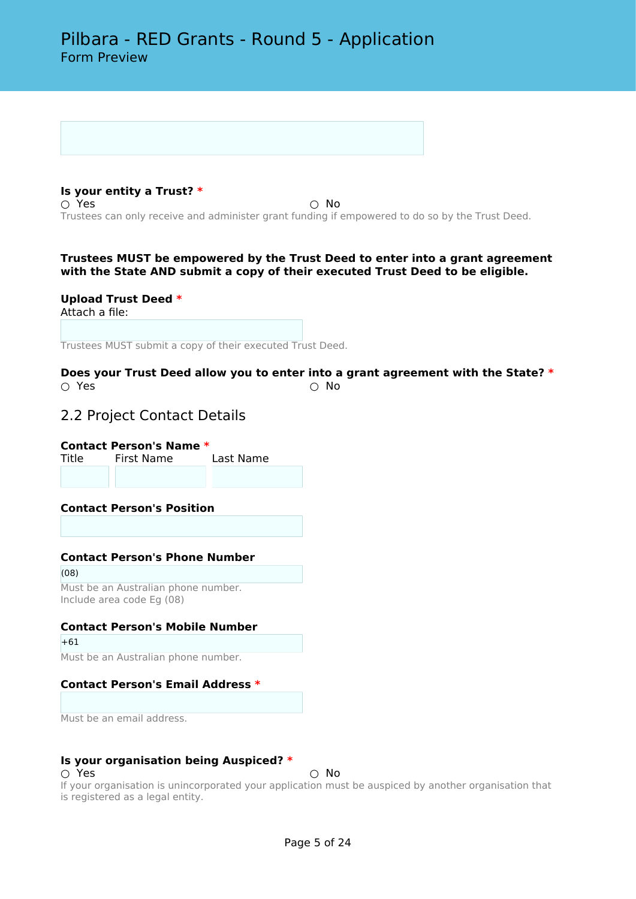**Is your entity a Trust? \***  $\bigcirc$  Yes  $\bigcirc$  No Trustees can only receive and administer grant funding if empowered to do so by the Trust Deed.

#### **Trustees MUST be empowered by the Trust Deed to enter into a grant agreement with the State AND submit a copy of their executed Trust Deed to be eligible.**

**Upload Trust Deed \*** Attach a file:

Trustees MUST submit a copy of their executed Trust Deed.

**Does your Trust Deed allow you to enter into a grant agreement with the State? \***  $\bigcirc$  Yes  $\bigcirc$  No

# 2.2 Project Contact Details

**Contact Person's Name \***

Title First Name Last Name

**Contact Person's Position**

# **Contact Person's Phone Number**

(08) Must be an Australian phone number. Include area code Eg (08)

# **Contact Person's Mobile Number**

 $+61$ 

Must be an Australian phone number.

# **Contact Person's Email Address \***

Must be an email address.

#### **Is your organisation being Auspiced? \***

○ Yes ○ No

If your organisation is unincorporated your application must be auspiced by another organisation that is registered as a legal entity.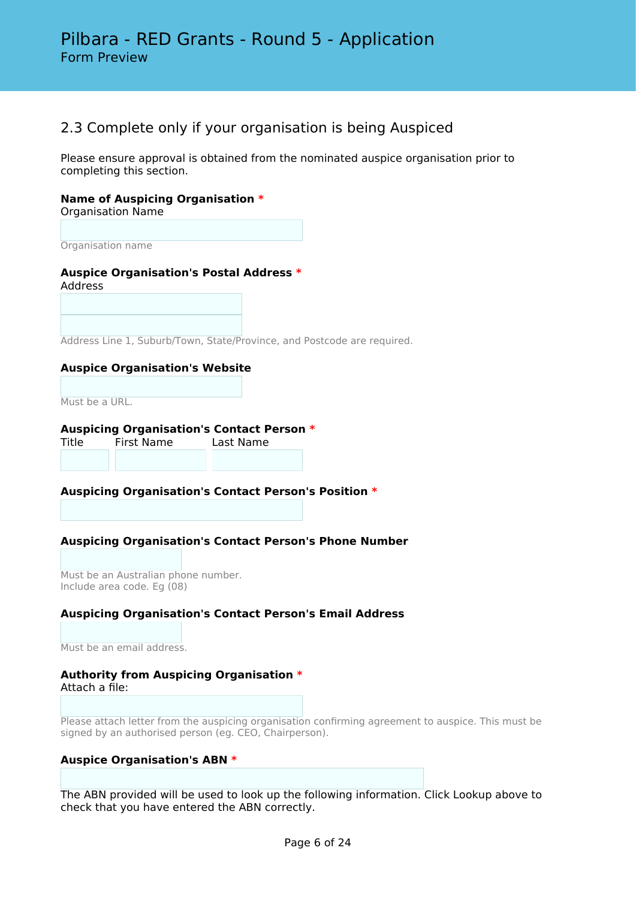# 2.3 Complete only if your organisation is being Auspiced

Please ensure approval is obtained from the nominated auspice organisation prior to completing this section.

# **Name of Auspicing Organisation \***

Organisation Name

Organisation name

## **Auspice Organisation's Postal Address \*** Address

Address Line 1, Suburb/Town, State/Province, and Postcode are required.

#### **Auspice Organisation's Website**

Must be a URL.

# **Auspicing Organisation's Contact Person \***

Title First Name Last Name

#### **Auspicing Organisation's Contact Person's Position \***

# **Auspicing Organisation's Contact Person's Phone Number**

Must be an Australian phone number. Include area code. Eg (08)

#### **Auspicing Organisation's Contact Person's Email Address**

Must be an email address.

# **Authority from Auspicing Organisation \***

Attach a file:

Please attach letter from the auspicing organisation confirming agreement to auspice. This must be signed by an authorised person (eg. CEO, Chairperson).

#### **Auspice Organisation's ABN \***

The ABN provided will be used to look up the following information. Click Lookup above to check that you have entered the ABN correctly.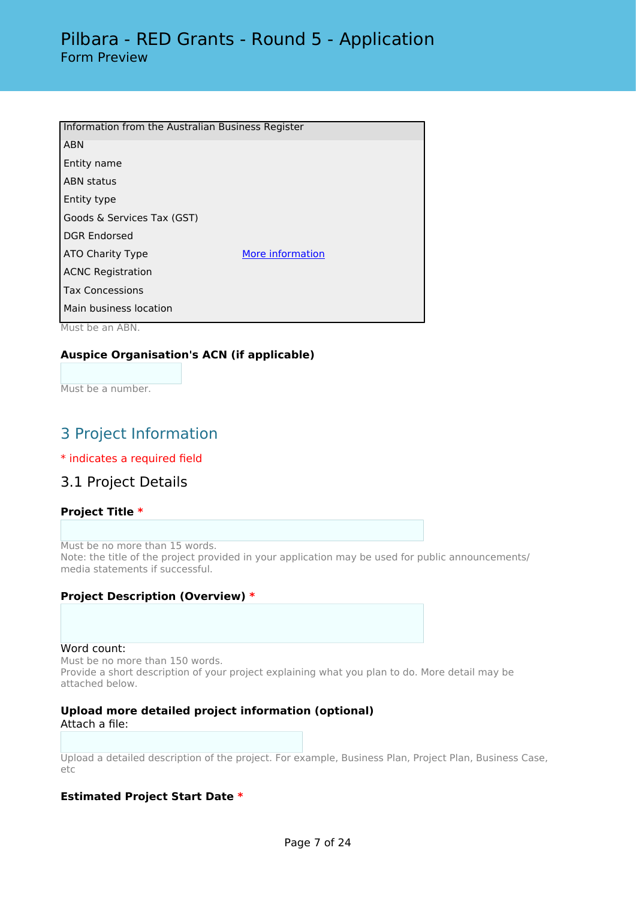| Information from the Australian Business Register |                  |  |  |  |
|---------------------------------------------------|------------------|--|--|--|
| <b>ABN</b>                                        |                  |  |  |  |
| Entity name                                       |                  |  |  |  |
| <b>ABN status</b>                                 |                  |  |  |  |
| Entity type                                       |                  |  |  |  |
| Goods & Services Tax (GST)                        |                  |  |  |  |
| <b>DGR Endorsed</b>                               |                  |  |  |  |
| ATO Charity Type                                  | More information |  |  |  |
| <b>ACNC Registration</b>                          |                  |  |  |  |
| <b>Tax Concessions</b>                            |                  |  |  |  |
| Main business location                            |                  |  |  |  |

Must be an ABN.

# **Auspice Organisation's ACN (if applicable)**

Must be a number.

# 3 Project Information

#### \* indicates a required field

# 3.1 Project Details

# **Project Title \***

Must be no more than 15 words. Note: the title of the project provided in your application may be used for public announcements/ media statements if successful.

#### **Project Description (Overview) \***

Word count:

Must be no more than 150 words. Provide a short description of your project explaining what you plan to do. More detail may be attached below.

#### **Upload more detailed project information (optional)** Attach a file:

Upload a detailed description of the project. For example, Business Plan, Project Plan, Business Case, etc

#### **Estimated Project Start Date \***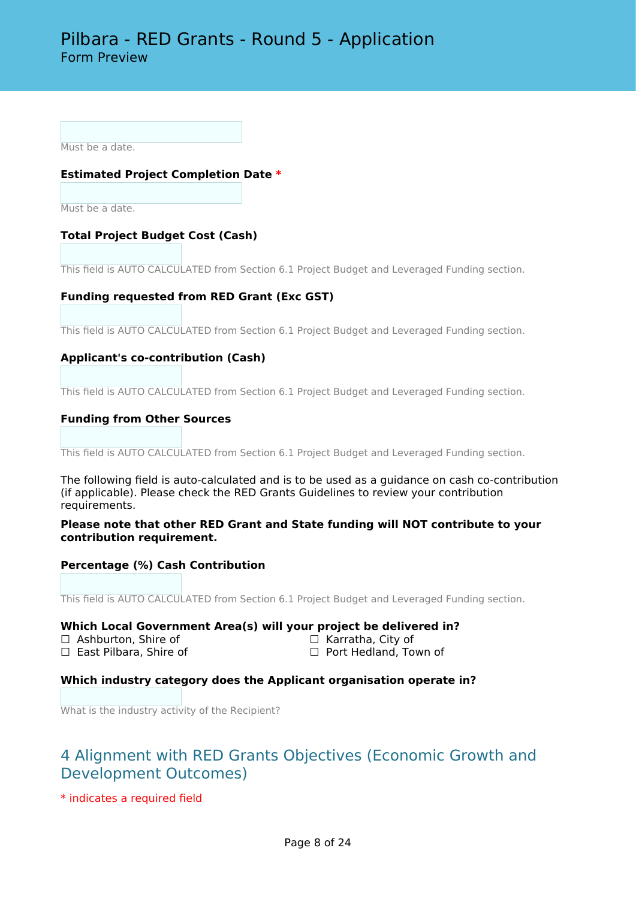Must be a date.

# **Estimated Project Completion Date \***

Must be a date.

# **Total Project Budget Cost (Cash)**

This field is AUTO CALCULATED from Section 6.1 Project Budget and Leveraged Funding section.

# **Funding requested from RED Grant (Exc GST)**

This field is AUTO CALCULATED from Section 6.1 Project Budget and Leveraged Funding section.

## **Applicant's co-contribution (Cash)**

This field is AUTO CALCULATED from Section 6.1 Project Budget and Leveraged Funding section.

#### **Funding from Other Sources**

This field is AUTO CALCULATED from Section 6.1 Project Budget and Leveraged Funding section.

The following field is auto-calculated and is to be used as a guidance on cash co-contribution (if applicable). Please check the RED Grants Guidelines to review your contribution requirements.

**Please note that other RED Grant and State funding will NOT contribute to your contribution requirement.**

#### **Percentage (%) Cash Contribution**

This field is AUTO CALCULATED from Section 6.1 Project Budget and Leveraged Funding section.

# **Which Local Government Area(s) will your project be delivered in?**<br>□ Ashburton, Shire of □ △ Karratha, City of

- □ Ashburton, Shire of<br>□ East Pilbara, Shire of
- 

□ Port Hedland, Town of

#### **Which industry category does the Applicant organisation operate in?**

What is the industry activity of the Recipient?

# 4 Alignment with RED Grants Objectives (Economic Growth and Development Outcomes)

\* indicates a required field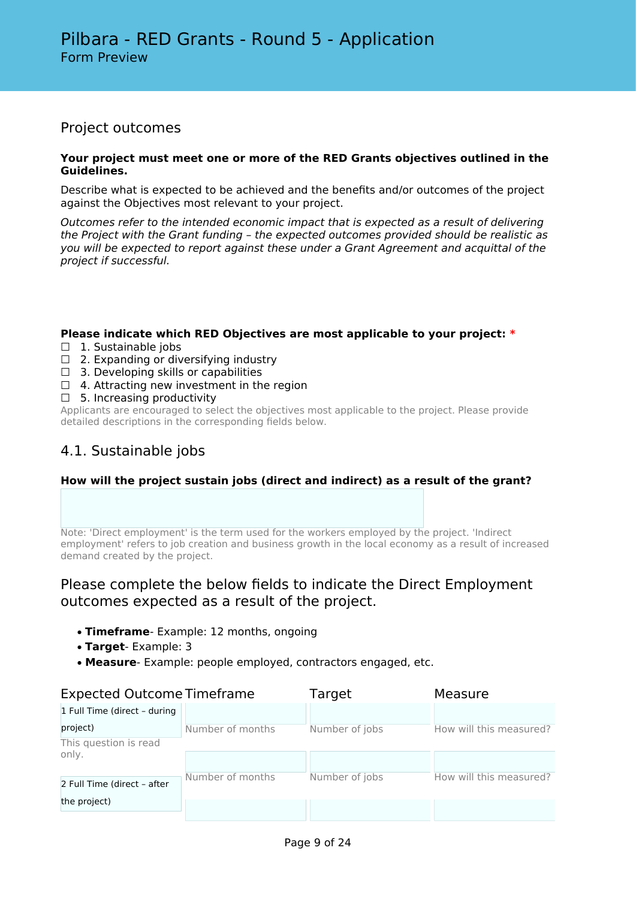# Project outcomes

#### **Your project must meet one or more of the RED Grants objectives outlined in the Guidelines.**

Describe what is expected to be achieved and the benefits and/or outcomes of the project against the Objectives most relevant to your project.

*Outcomes refer to the intended economic impact that is expected as a result of delivering the Project with the Grant funding – the expected outcomes provided should be realistic as you will be expected to report against these under a Grant Agreement and acquittal of the project if successful.*

## **Please indicate which RED Objectives are most applicable to your project: \***

- □ 1. Sustainable jobs
- $\Box$  2. Expanding or diversifying industry
- $\Box$  3. Developing skills or capabilities
- $\Box$  4. Attracting new investment in the region
- $\Box$  5. Increasing productivity

Applicants are encouraged to select the objectives most applicable to the project. Please provide detailed descriptions in the corresponding fields below.

# 4.1. Sustainable jobs

# **How will the project sustain jobs (direct and indirect) as a result of the grant?**

Note: 'Direct employment' is the term used for the workers employed by the project. 'Indirect employment' refers to job creation and business growth in the local economy as a result of increased demand created by the project.

# Please complete the below fields to indicate the Direct Employment outcomes expected as a result of the project.

- **Timeframe** Example: 12 months, ongoing
- **Target** Example: 3
- **Measure** Example: people employed, contractors engaged, etc.

| <b>Expected Outcome Timeframe</b> |                  | Target         | Measure                 |
|-----------------------------------|------------------|----------------|-------------------------|
| 1 Full Time (direct - during      |                  |                |                         |
| project)                          | Number of months | Number of jobs | How will this measured? |
| This question is read             |                  |                |                         |
| only.                             |                  |                |                         |
|                                   | Number of months | Number of jobs | How will this measured? |
| 2 Full Time (direct - after       |                  |                |                         |
| the project)                      |                  |                |                         |
|                                   |                  |                |                         |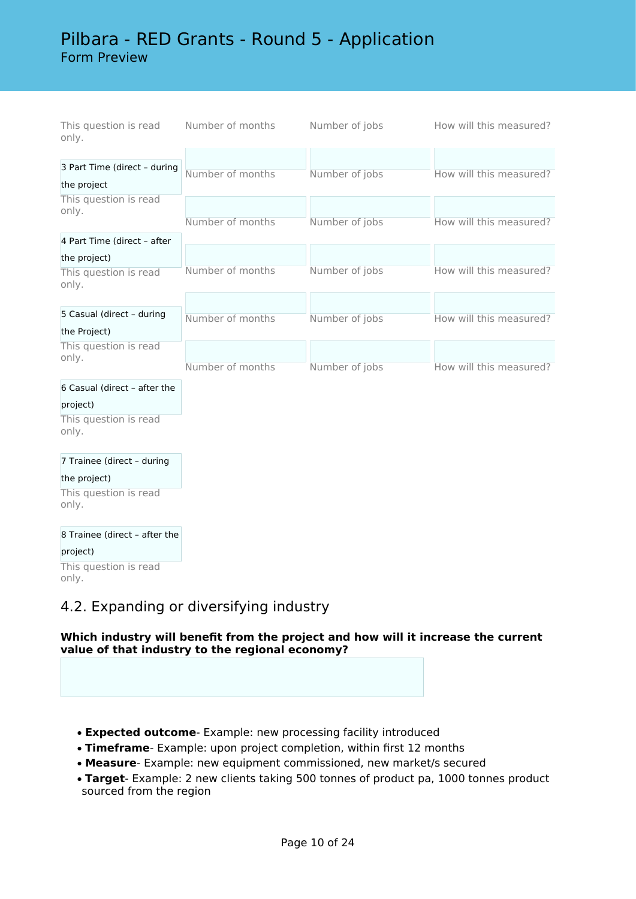# Pilbara - RED Grants - Round 5 - Application

Form Preview

| This question is read<br>only. | Number of months | Number of jobs | How will this measured? |
|--------------------------------|------------------|----------------|-------------------------|
|                                |                  |                |                         |
| 3 Part Time (direct - during   |                  |                |                         |
| the project                    | Number of months | Number of jobs | How will this measured? |
| This question is read<br>only. |                  |                |                         |
|                                | Number of months | Number of jobs | How will this measured? |
| 4 Part Time (direct - after    |                  |                |                         |
| the project)                   |                  |                |                         |
| This question is read<br>only. | Number of months | Number of jobs | How will this measured? |
|                                |                  |                |                         |
| 5 Casual (direct - during      | Number of months | Number of jobs | How will this measured? |
| the Project)                   |                  |                |                         |
| This question is read<br>only. |                  |                |                         |
|                                | Number of months | Number of jobs | How will this measured? |
| 6 Casual (direct - after the   |                  |                |                         |
| project)                       |                  |                |                         |
| This question is read<br>only. |                  |                |                         |
| 7 Trainee (direct - during     |                  |                |                         |
| the project)                   |                  |                |                         |
| This question is read<br>only. |                  |                |                         |
|                                |                  |                |                         |

8 Trainee (direct – after the

project) This question is read only.

# 4.2. Expanding or diversifying industry

# **Which industry will benefit from the project and how will it increase the current value of that industry to the regional economy?**

- **Expected outcome** Example: new processing facility introduced
- **Timeframe** Example: upon project completion, within first 12 months
- **Measure** Example: new equipment commissioned, new market/s secured
- **Target** Example: 2 new clients taking 500 tonnes of product pa, 1000 tonnes product sourced from the region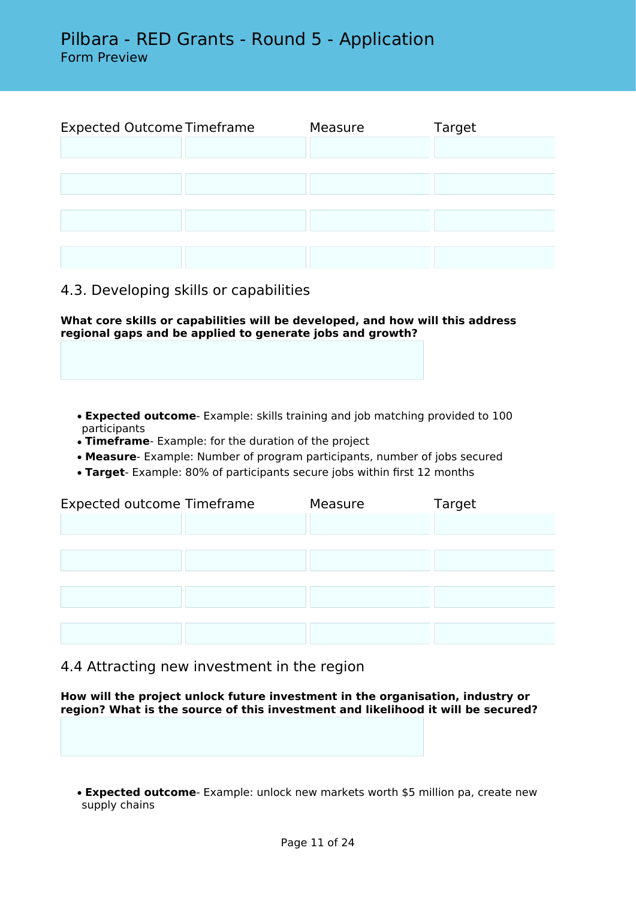Expected Outcome Timeframe Measure Target

# 4.3. Developing skills or capabilities

**What core skills or capabilities will be developed, and how will this address regional gaps and be applied to generate jobs and growth?**

- **Expected outcome** Example: skills training and job matching provided to 100 participants
- **Timeframe** Example: for the duration of the project
- **Measure** Example: Number of program participants, number of jobs secured
- **Target** Example: 80% of participants secure jobs within first 12 months

| <b>Expected outcome Timeframe</b> | Measure | Target |
|-----------------------------------|---------|--------|
|                                   |         |        |
|                                   |         |        |
|                                   |         |        |
|                                   |         |        |
|                                   |         |        |
|                                   |         |        |
|                                   |         |        |

4.4 Attracting new investment in the region

**How will the project unlock future investment in the organisation, industry or region? What is the source of this investment and likelihood it will be secured?**

• **Expected outcome**- Example: unlock new markets worth \$5 million pa, create new supply chains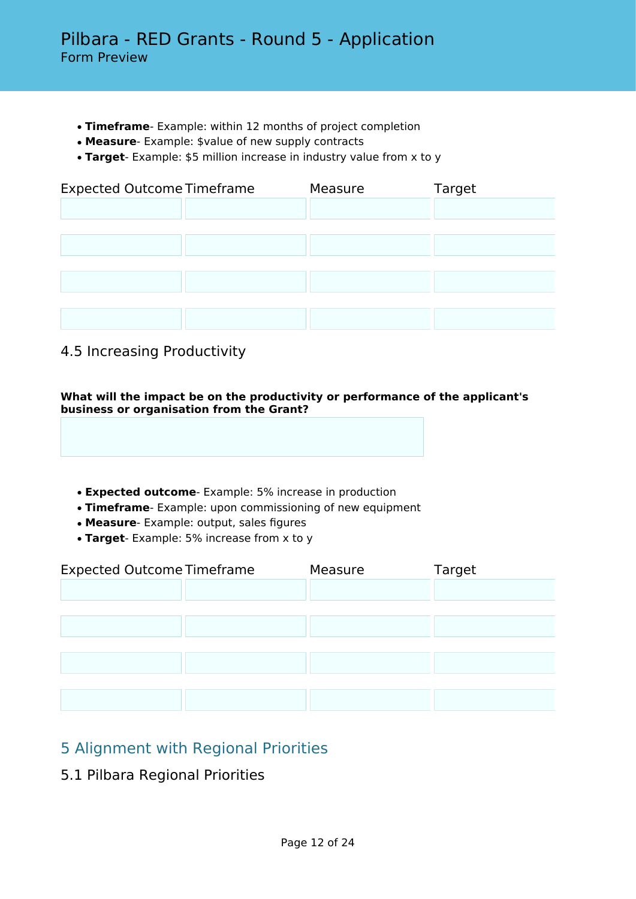- **Timeframe** Example: within 12 months of project completion
- **Measure** Example: \$value of new supply contracts
- **Target** Example: \$5 million increase in industry value from x to y

| <b>Expected Outcome Timeframe</b> |  | Measure | Target |
|-----------------------------------|--|---------|--------|
|                                   |  |         |        |
|                                   |  |         |        |
|                                   |  |         |        |
|                                   |  |         |        |
|                                   |  |         |        |
|                                   |  |         |        |
|                                   |  |         |        |

# 4.5 Increasing Productivity

**What will the impact be on the productivity or performance of the applicant's business or organisation from the Grant?**

- **Expected outcome** Example: 5% increase in production
- **Timeframe** Example: upon commissioning of new equipment
- **Measure** Example: output, sales figures
- **Target** Example: 5% increase from x to y

| <b>Expected Outcome Timeframe</b> | Measure | Target |
|-----------------------------------|---------|--------|
|                                   |         |        |
|                                   |         |        |
|                                   |         |        |
|                                   |         |        |
|                                   |         |        |
|                                   |         |        |
|                                   |         |        |

# 5 Alignment with Regional Priorities

5.1 Pilbara Regional Priorities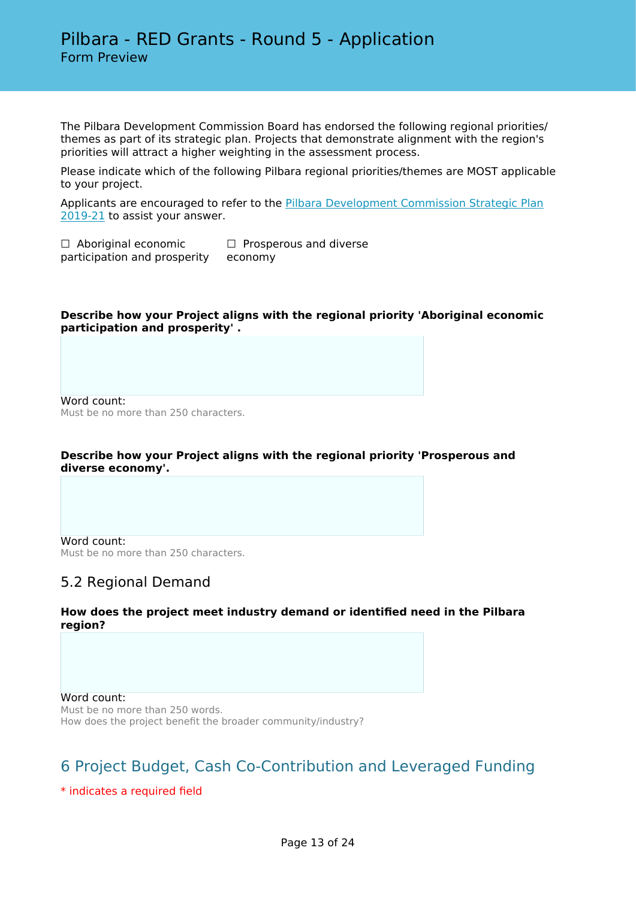The Pilbara Development Commission Board has endorsed the following regional priorities/ themes as part of its strategic plan. Projects that demonstrate alignment with the region's priorities will attract a higher weighting in the assessment process.

Please indicate which of the following Pilbara regional priorities/themes are MOST applicable to your project.

Applicants are encouraged to refer to the [Pilbara Development Commission Strategic Plan](https://www.pdc.wa.gov.au/download_file/view/901/266) [2019-21](https://www.pdc.wa.gov.au/download_file/view/901/266) to assist your answer.

□ Aboriginal economic participation and prosperity □ Prosperous and diverse economy

#### **Describe how your Project aligns with the regional priority 'Aboriginal economic participation and prosperity' .**

Word count: Must be no more than 250 characters.

## **Describe how your Project aligns with the regional priority 'Prosperous and diverse economy'.**

Word count: Must be no more than 250 characters.

# 5.2 Regional Demand

## **How does the project meet industry demand or identified need in the Pilbara region?**

Word count: Must be no more than 250 words. How does the project benefit the broader community/industry?

# 6 Project Budget, Cash Co-Contribution and Leveraged Funding

\* indicates a required field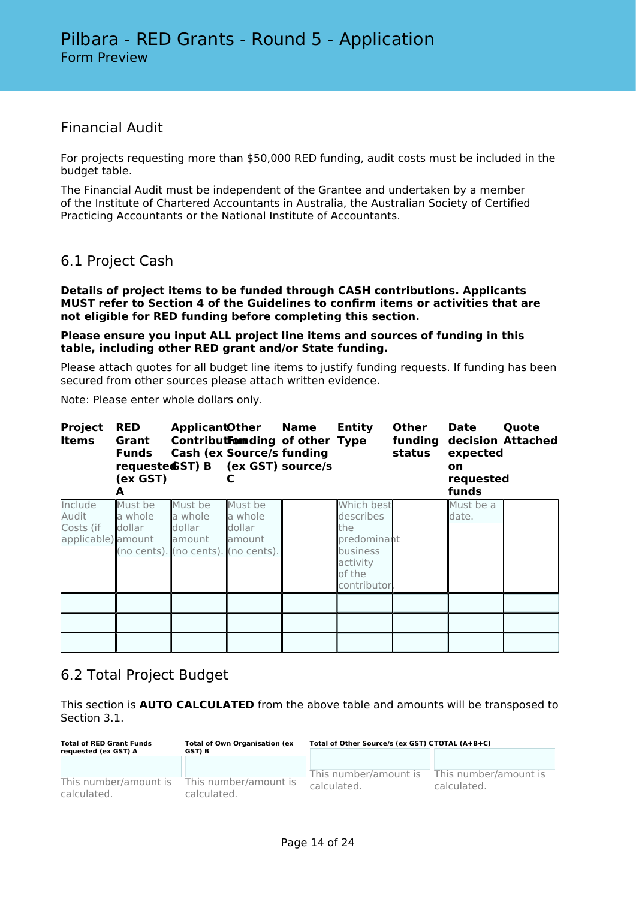# Financial Audit

For projects requesting more than \$50,000 RED funding, audit costs must be included in the budget table.

The Financial Audit must be independent of the Grantee and undertaken by a member of the Institute of Chartered Accountants in Australia, the Australian Society of Certified Practicing Accountants or the National Institute of Accountants.

# 6.1 Project Cash

**Details of project items to be funded through CASH contributions. Applicants MUST refer to Section 4 of the Guidelines to confirm items or activities that are not eligible for RED funding before completing this section.**

**Please ensure you input ALL project line items and sources of funding in this table, including other RED grant and/or State funding.**

Please attach quotes for all budget line items to justify funding requests. If funding has been secured from other sources please attach written evidence.

Note: Please enter whole dollars only.

| <b>Project</b><br><b>Items</b>                      | <b>RED</b><br>Grant<br><b>Funds</b><br>(ex GST)<br>А | <b>ApplicantOther Name</b><br>Contributformding of other Type<br><b>Cash (ex Source/s funding</b><br>requeste GST) B (ex GST) source/s |                                        | Entity                                                                                                | <b>Other</b><br>status | <b>Date</b><br>funding decision Attached<br>expected<br>on<br>requested<br>funds | Quote |
|-----------------------------------------------------|------------------------------------------------------|----------------------------------------------------------------------------------------------------------------------------------------|----------------------------------------|-------------------------------------------------------------------------------------------------------|------------------------|----------------------------------------------------------------------------------|-------|
| Include<br>Audit<br>Costs (if<br>applicable) amount | Must be<br>a whole<br>dollar                         | Must be<br>a whole<br>dollar<br>amount<br>(no cents). (no cents). (no cents).                                                          | Must be<br>a whole<br>dollar<br>amount | Which best<br>describes<br>the<br>predominant<br><b>business</b><br>activity<br>of the<br>contributor |                        | Must be a<br>date.                                                               |       |
|                                                     |                                                      |                                                                                                                                        |                                        |                                                                                                       |                        |                                                                                  |       |
|                                                     |                                                      |                                                                                                                                        |                                        |                                                                                                       |                        |                                                                                  |       |

# 6.2 Total Project Budget

This section is **AUTO CALCULATED** from the above table and amounts will be transposed to Section 3.1.

| <b>Total of RED Grant Funds</b><br>requested (ex GST) A | <b>Total of Own Organisation (ex</b><br>GST) B | Total of Other Source/s (ex GST) CTOTAL (A+B+C) |                                      |  |
|---------------------------------------------------------|------------------------------------------------|-------------------------------------------------|--------------------------------------|--|
|                                                         |                                                |                                                 |                                      |  |
| This number/amount is<br>calculated.                    | This number/amount is<br>calculated.           | This number/amount is<br>calculated.            | This number/amount is<br>calculated. |  |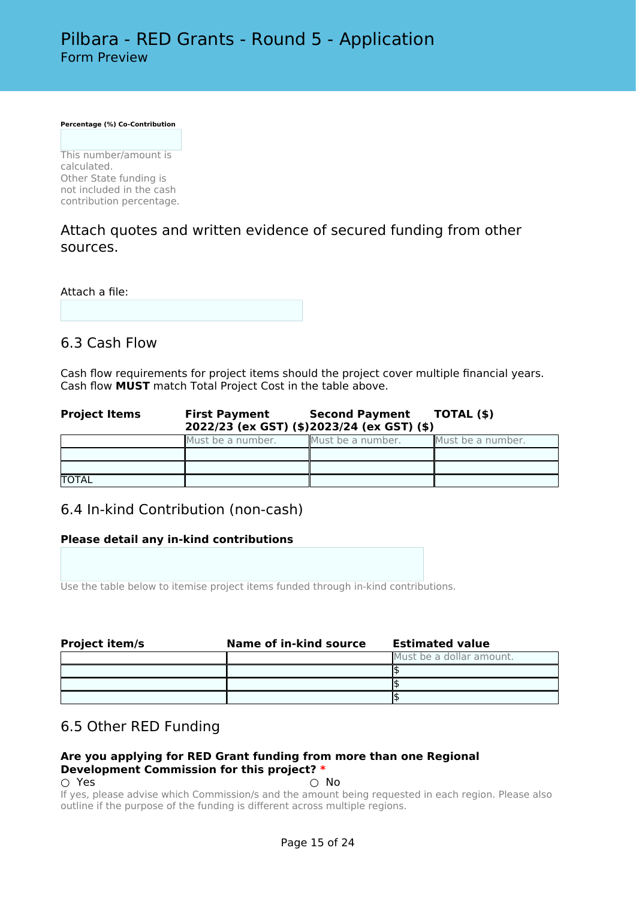**Percentage (%) Co-Contribution**

This number/amount is calculated. Other State funding is not included in the cash contribution percentage.

# Attach quotes and written evidence of secured funding from other sources.

Attach a file:

# 6.3 Cash Flow

Cash flow requirements for project items should the project cover multiple financial years. Cash flow **MUST** match Total Project Cost in the table above.

| <b>Project Items</b> | <b>First Payment</b> | Second Payment TOTAL (\$)<br>2022/23 (ex GST) (\$)2023/24 (ex GST) (\$) |                   |
|----------------------|----------------------|-------------------------------------------------------------------------|-------------------|
|                      | Must be a number.    | Must be a number.                                                       | Must be a number. |
|                      |                      |                                                                         |                   |
|                      |                      |                                                                         |                   |
| <b>TOTAL</b>         |                      |                                                                         |                   |

# 6.4 In-kind Contribution (non-cash)

# **Please detail any in-kind contributions**

Use the table below to itemise project items funded through in-kind contributions.

| <b>Project item/s</b> | Name of in-kind source | <b>Estimated value</b>   |
|-----------------------|------------------------|--------------------------|
|                       |                        | Must be a dollar amount. |
|                       |                        |                          |
|                       |                        |                          |
|                       |                        |                          |

# 6.5 Other RED Funding

#### **Are you applying for RED Grant funding from more than one Regional Development Commission for this project? \***  $\bigcirc$  Yes  $\bigcirc$  No

If yes, please advise which Commission/s and the amount being requested in each region. Please also outline if the purpose of the funding is different across multiple regions.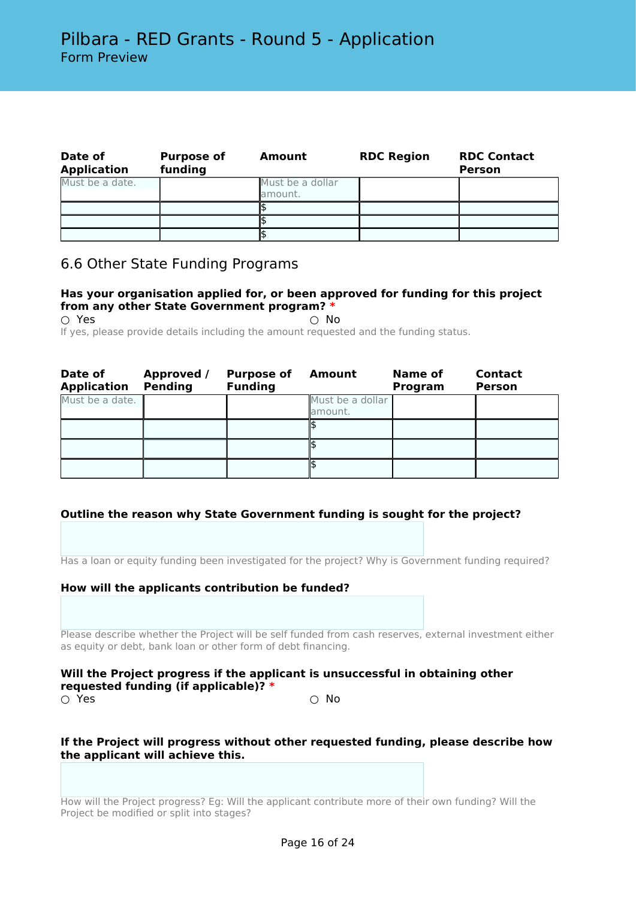| Date of<br><b>Application</b> | <b>Purpose of</b><br>funding | Amount                      | <b>RDC Region</b> | <b>RDC Contact</b><br><b>Person</b> |
|-------------------------------|------------------------------|-----------------------------|-------------------|-------------------------------------|
| Must be a date.               |                              | Must be a dollar<br>amount. |                   |                                     |
|                               |                              |                             |                   |                                     |
|                               |                              |                             |                   |                                     |
|                               |                              |                             |                   |                                     |

# 6.6 Other State Funding Programs

# **Has your organisation applied for, or been approved for funding for this project from any other State Government program? \***

 $\bigcirc$  Yes  $\bigcirc$  No If yes, please provide details including the amount requested and the funding status.

| Date of<br><b>Application</b> | <b>Approved /</b><br><b>Pending</b> | <b>Purpose of</b><br><b>Funding</b> | <b>Amount</b>                | Name of<br>Program | <b>Contact</b><br><b>Person</b> |
|-------------------------------|-------------------------------------|-------------------------------------|------------------------------|--------------------|---------------------------------|
| Must be a date.               |                                     |                                     | Must be a dollar<br>lamount. |                    |                                 |
|                               |                                     |                                     |                              |                    |                                 |
|                               |                                     |                                     |                              |                    |                                 |
|                               |                                     |                                     |                              |                    |                                 |

# **Outline the reason why State Government funding is sought for the project?**

Has a loan or equity funding been investigated for the project? Why is Government funding required?

#### **How will the applicants contribution be funded?**

Please describe whether the Project will be self funded from cash reserves, external investment either as equity or debt, bank loan or other form of debt financing.

#### **Will the Project progress if the applicant is unsuccessful in obtaining other requested funding (if applicable)? \***  $\bigcirc$  Yes  $\bigcirc$  No

## **If the Project will progress without other requested funding, please describe how the applicant will achieve this.**

How will the Project progress? Eg: Will the applicant contribute more of their own funding? Will the Project be modified or split into stages?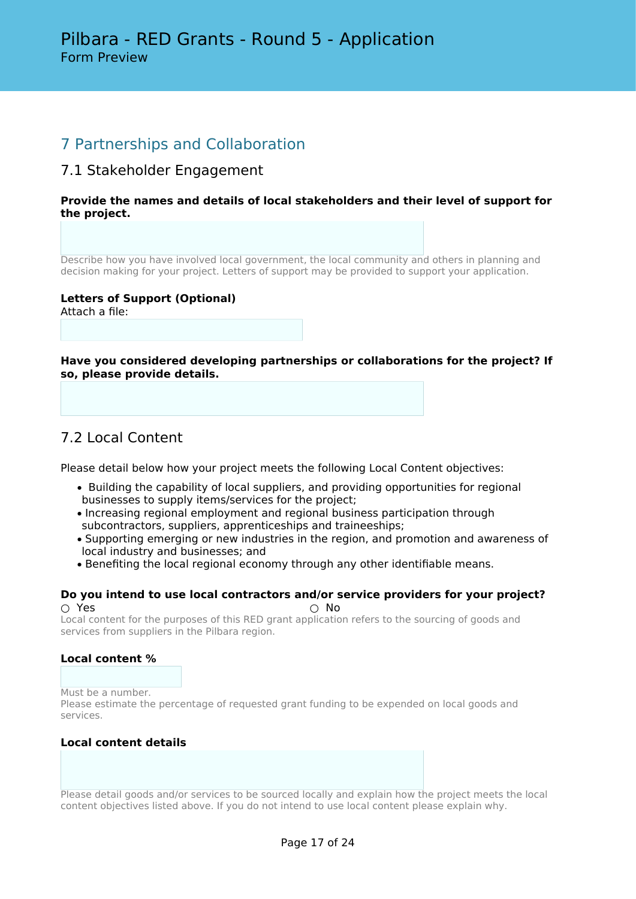# 7 Partnerships and Collaboration

# 7.1 Stakeholder Engagement

## **Provide the names and details of local stakeholders and their level of support for the project.**

Describe how you have involved local government, the local community and others in planning and decision making for your project. Letters of support may be provided to support your application.

#### **Letters of Support (Optional)** Attach a file:

**Have you considered developing partnerships or collaborations for the project? If so, please provide details.**

# 7.2 Local Content

Please detail below how your project meets the following Local Content objectives:

- Building the capability of local suppliers, and providing opportunities for regional businesses to supply items/services for the project;
- Increasing regional employment and regional business participation through subcontractors, suppliers, apprenticeships and traineeships;
- Supporting emerging or new industries in the region, and promotion and awareness of local industry and businesses; and
- Benefiting the local regional economy through any other identifiable means.

#### **Do you intend to use local contractors and/or service providers for your project?**  $\circlearrowright$  Yes  $\circlearrowright$  No.

Local content for the purposes of this RED grant application refers to the sourcing of goods and services from suppliers in the Pilbara region.

# **Local content %**

Must be a number. Please estimate the percentage of requested grant funding to be expended on local goods and services.

# **Local content details**

Please detail goods and/or services to be sourced locally and explain how the project meets the local content objectives listed above. If you do not intend to use local content please explain why.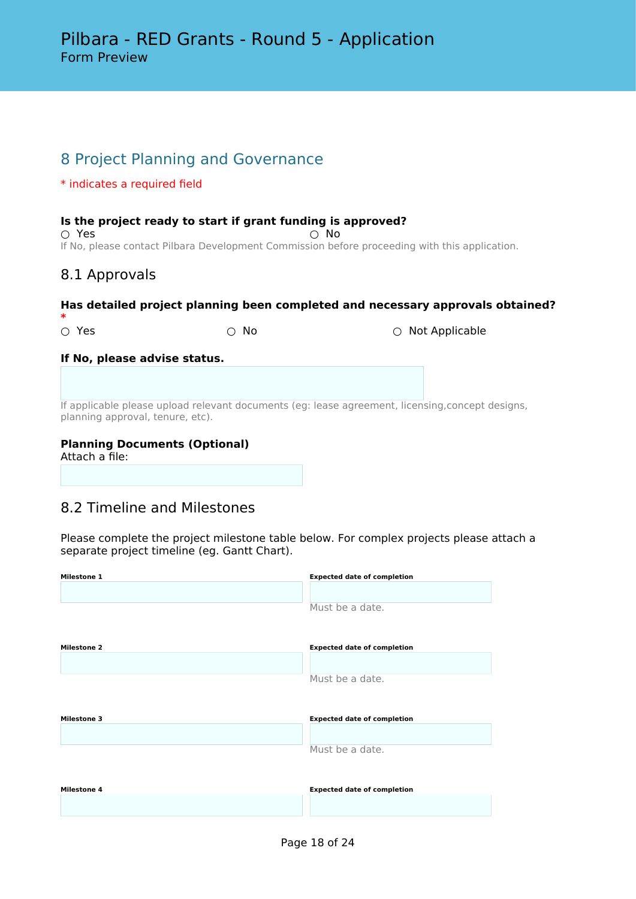# 8 Project Planning and Governance

# \* indicates a required field

## **Is the project ready to start if grant funding is approved?**

 $\bigcirc$  Yes  $\bigcirc$  No If No, please contact Pilbara Development Commission before proceeding with this application.

# 8.1 Approvals

## **Has detailed project planning been completed and necessary approvals obtained?**

**\***

○ Yes ○ No ○ Not Applicable

## **If No, please advise status.**

If applicable please upload relevant documents (eg: lease agreement, licensing,concept designs, planning approval, tenure, etc).

# **Planning Documents (Optional)**

Attach a file:

# 8.2 Timeline and Milestones

Please complete the project milestone table below. For complex projects please attach a separate project timeline (eg. Gantt Chart).

| <b>Milestone 1</b> | <b>Expected date of completion</b> |
|--------------------|------------------------------------|
|                    |                                    |
|                    | Must be a date.                    |
| <b>Milestone 2</b> | <b>Expected date of completion</b> |
|                    |                                    |
|                    | Must be a date.                    |
| <b>Milestone 3</b> | <b>Expected date of completion</b> |
|                    |                                    |
|                    | Must be a date.                    |
| <b>Milestone 4</b> | <b>Expected date of completion</b> |
|                    |                                    |
|                    |                                    |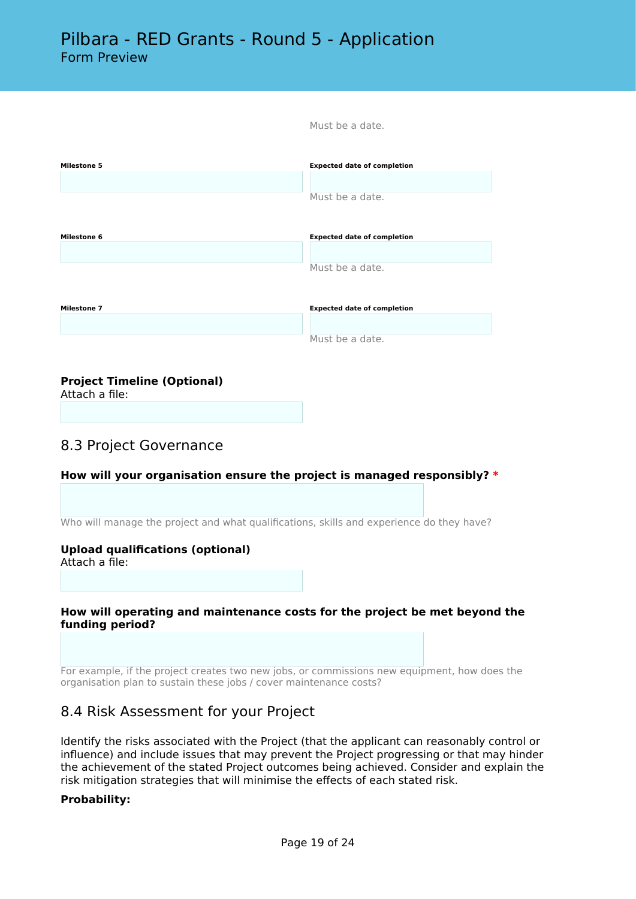| <b>Milestone 5</b> | <b>Expected date of completion</b> |
|--------------------|------------------------------------|
|                    |                                    |
|                    | Must be a date.                    |
|                    |                                    |
| <b>Milestone 6</b> | <b>Expected date of completion</b> |
|                    |                                    |
|                    | Must be a date.                    |
|                    |                                    |
| <b>Milestone 7</b> | <b>Expected date of completion</b> |
|                    |                                    |
|                    | Must be a date.                    |

Must be a date.

# **Project Timeline (Optional)**

Attach a file:

# 8.3 Project Governance

# **How will your organisation ensure the project is managed responsibly? \***

Who will manage the project and what qualifications, skills and experience do they have?

#### **Upload qualifications (optional)**

Attach a file:

#### **How will operating and maintenance costs for the project be met beyond the funding period?**

For example, if the project creates two new jobs, or commissions new equipment, how does the organisation plan to sustain these jobs / cover maintenance costs?

# 8.4 Risk Assessment for your Project

Identify the risks associated with the Project (that the applicant can reasonably control or influence) and include issues that may prevent the Project progressing or that may hinder the achievement of the stated Project outcomes being achieved. Consider and explain the risk mitigation strategies that will minimise the effects of each stated risk.

#### **Probability:**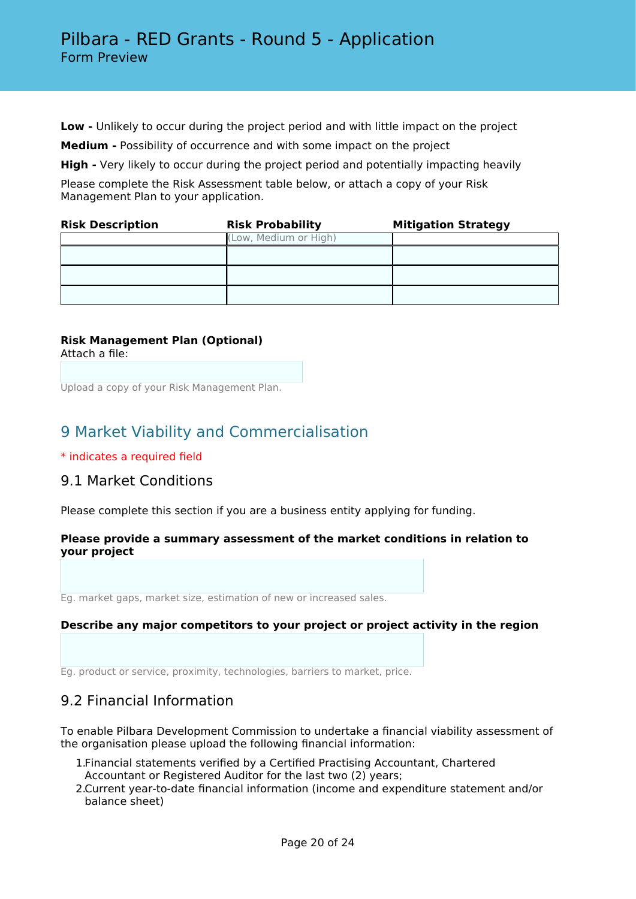**Low -** Unlikely to occur during the project period and with little impact on the project

**Medium -** Possibility of occurrence and with some impact on the project

**High -** Very likely to occur during the project period and potentially impacting heavily

Please complete the Risk Assessment table below, or attach a copy of your Risk Management Plan to your application.

| <b>Risk Description</b> | <b>Risk Probability</b> | <b>Mitigation Strategy</b> |
|-------------------------|-------------------------|----------------------------|
|                         | (Low, Medium or High)   |                            |
|                         |                         |                            |
|                         |                         |                            |
|                         |                         |                            |

#### **Risk Management Plan (Optional)** Attach a file:

Upload a copy of your Risk Management Plan.

# 9 Market Viability and Commercialisation

\* indicates a required field

# 9.1 Market Conditions

Please complete this section if you are a business entity applying for funding.

## **Please provide a summary assessment of the market conditions in relation to your project**

Eg. market gaps, market size, estimation of new or increased sales.

#### **Describe any major competitors to your project or project activity in the region**

Eg. product or service, proximity, technologies, barriers to market, price.

# 9.2 Financial Information

To enable Pilbara Development Commission to undertake a financial viability assessment of the organisation please upload the following financial information:

- 1.Financial statements verified by a Certified Practising Accountant, Chartered Accountant or Registered Auditor for the last two (2) years;
- 2.Current year-to-date financial information (income and expenditure statement and/or balance sheet)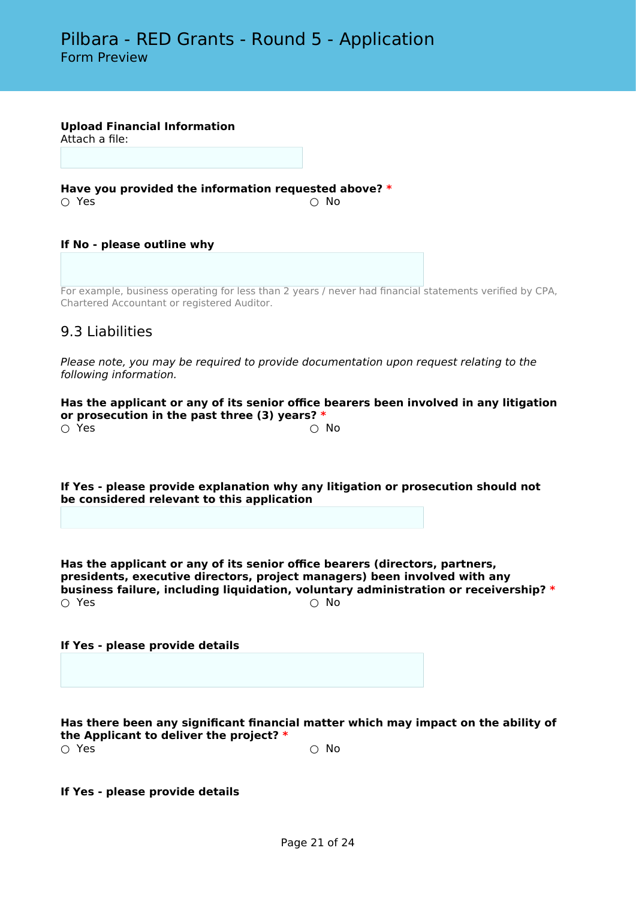**Upload Financial Information**

Attach a file:

**Have you provided the information requested above? \*** ○ Yes ○ No

**If No - please outline why**

For example, business operating for less than 2 years / never had financial statements verified by CPA, Chartered Accountant or registered Auditor.

# 9.3 Liabilities

*Please note, you may be required to provide documentation upon request relating to the following information.*

**Has the applicant or any of its senior office bearers been involved in any litigation or prosecution in the past three (3) years? \***  $\circlearrowright$  Yes  $\circlearrowright$  No.

**If Yes - please provide explanation why any litigation or prosecution should not be considered relevant to this application**

**Has the applicant or any of its senior office bearers (directors, partners, presidents, executive directors, project managers) been involved with any business failure, including liquidation, voluntary administration or receivership? \***  $\bigcirc$  Yes  $\bigcirc$  No

#### **If Yes - please provide details**

**Has there been any significant financial matter which may impact on the ability of the Applicant to deliver the project? \***  $\bigcirc$  Yes  $\bigcirc$  No

**If Yes - please provide details**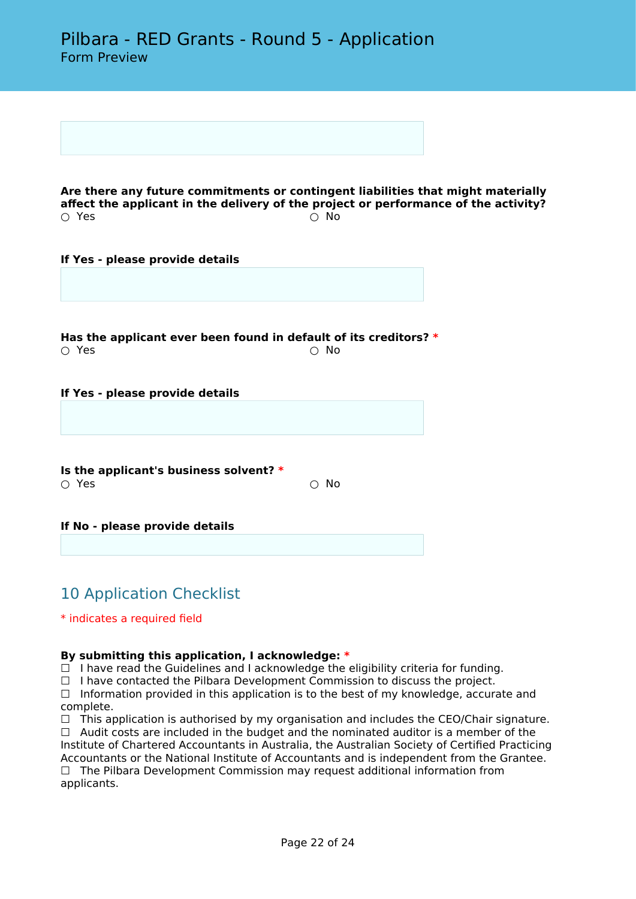**Are there any future commitments or contingent liabilities that might materially affect the applicant in the delivery of the project or performance of the activity?**<br>  $\bigcirc$  Yes  $\bigcirc$  Yes  $\bigcirc$  No

#### **If Yes - please provide details**

**Has the applicant ever been found in default of its creditors? \***  $\bigcirc$  Yes  $\bigcirc$  No

**If Yes - please provide details**

**Is the applicant's business solvent? \*** ○ Yes ○ No

**If No - please provide details**

# 10 Application Checklist

\* indicates a required field

#### **By submitting this application, I acknowledge: \***

 $\Box$  I have read the Guidelines and I acknowledge the eligibility criteria for funding.

 $\Box$  I have contacted the Pilbara Development Commission to discuss the project.

□ Information provided in this application is to the best of my knowledge, accurate and complete.

 $\Box$  This application is authorised by my organisation and includes the CEO/Chair signature.  $\Box$  Audit costs are included in the budget and the nominated auditor is a member of the Institute of Chartered Accountants in Australia, the Australian Society of Certified Practicing Accountants or the National Institute of Accountants and is independent from the Grantee.  $\Box$  The Pilbara Development Commission may request additional information from applicants.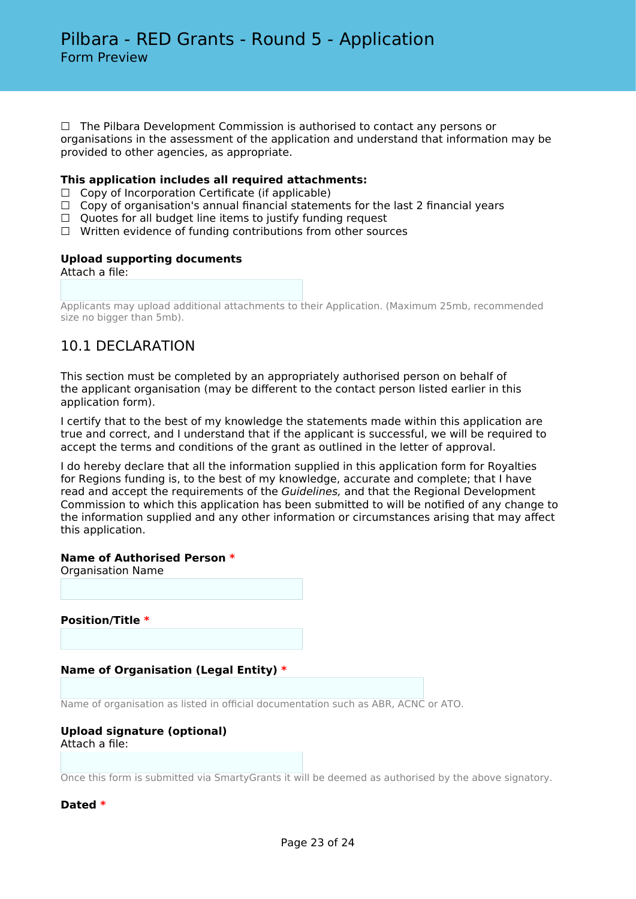$\Box$  The Pilbara Development Commission is authorised to contact any persons or organisations in the assessment of the application and understand that information may be provided to other agencies, as appropriate.

#### **This application includes all required attachments:**

- $\Box$  Copy of Incorporation Certificate (if applicable)
- $\Box$  Copy of organisation's annual financial statements for the last 2 financial years
- $\Box$  Quotes for all budget line items to justify funding request
- ☐ Written evidence of funding contributions from other sources

#### **Upload supporting documents**

Attach a file:

Applicants may upload additional attachments to their Application. (Maximum 25mb, recommended size no bigger than 5mb).

# 10.1 DECLARATION

This section must be completed by an appropriately authorised person on behalf of the applicant organisation (may be different to the contact person listed earlier in this application form).

I certify that to the best of my knowledge the statements made within this application are true and correct, and I understand that if the applicant is successful, we will be required to accept the terms and conditions of the grant as outlined in the letter of approval.

I do hereby declare that all the information supplied in this application form for Royalties for Regions funding is, to the best of my knowledge, accurate and complete; that I have read and accept the requirements of the *Guidelines,* and that the Regional Development Commission to which this application has been submitted to will be notified of any change to the information supplied and any other information or circumstances arising that may affect this application.

#### **Name of Authorised Person \***

Organisation Name

**Position/Title \***

#### **Name of Organisation (Legal Entity) \***

Name of organisation as listed in official documentation such as ABR, ACNC or ATO.

# **Upload signature (optional)**

Attach a file:

Once this form is submitted via SmartyGrants it will be deemed as authorised by the above signatory.

**Dated \***